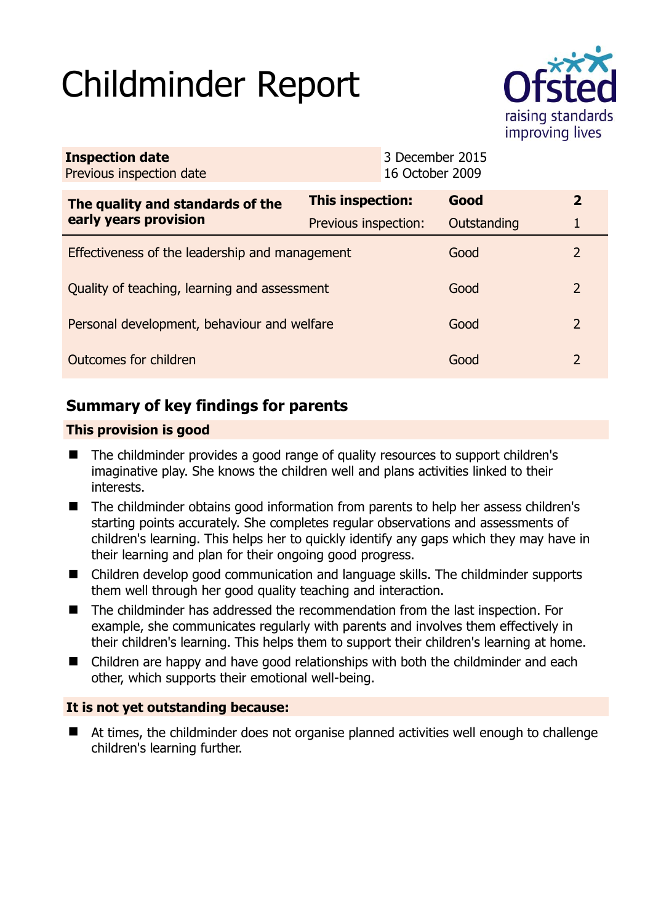# Childminder Report



| <b>Inspection date</b><br>Previous inspection date        |                      | 16 October 2009 | 3 December 2015 |              |
|-----------------------------------------------------------|----------------------|-----------------|-----------------|--------------|
| The quality and standards of the<br>early years provision | This inspection:     |                 | Good            | $\mathbf{2}$ |
|                                                           | Previous inspection: |                 | Outstanding     |              |
| Effectiveness of the leadership and management            |                      |                 | Good            | 2            |
| Quality of teaching, learning and assessment              |                      |                 | Good            | 2            |
| Personal development, behaviour and welfare               |                      |                 | Good            | 2            |
| Outcomes for children                                     |                      |                 | Good            | 2            |

# **Summary of key findings for parents**

# **This provision is good**

- The childminder provides a good range of quality resources to support children's imaginative play. She knows the children well and plans activities linked to their interests.
- The childminder obtains good information from parents to help her assess children's starting points accurately. She completes regular observations and assessments of children's learning. This helps her to quickly identify any gaps which they may have in their learning and plan for their ongoing good progress.
- Children develop good communication and language skills. The childminder supports them well through her good quality teaching and interaction.
- The childminder has addressed the recommendation from the last inspection. For example, she communicates regularly with parents and involves them effectively in their children's learning. This helps them to support their children's learning at home.
- Children are happy and have good relationships with both the childminder and each other, which supports their emotional well-being.

## **It is not yet outstanding because:**

 At times, the childminder does not organise planned activities well enough to challenge children's learning further.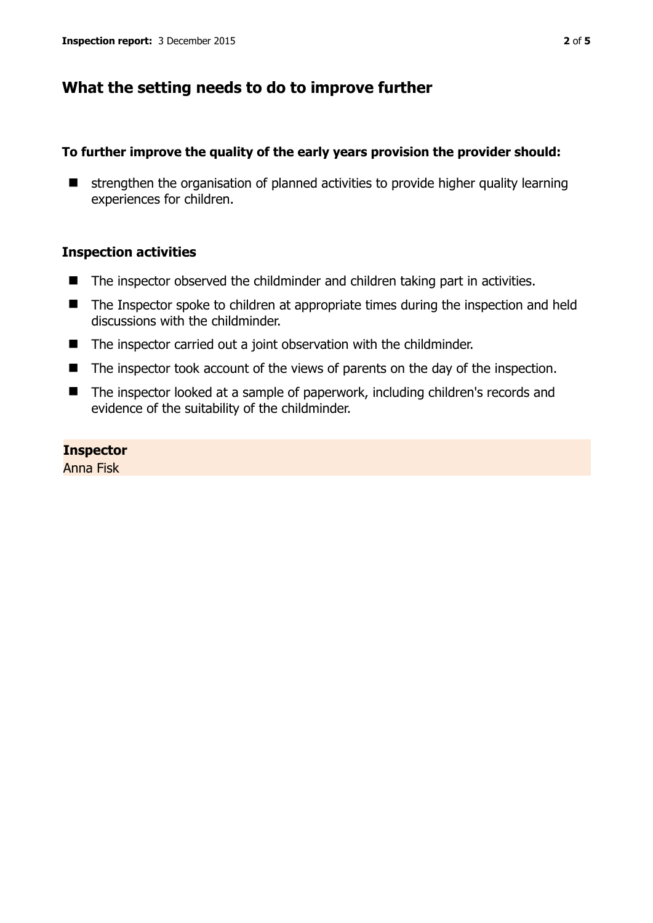# **What the setting needs to do to improve further**

## **To further improve the quality of the early years provision the provider should:**

 $\blacksquare$  strengthen the organisation of planned activities to provide higher quality learning experiences for children.

## **Inspection activities**

- $\blacksquare$  The inspector observed the childminder and children taking part in activities.
- The Inspector spoke to children at appropriate times during the inspection and held discussions with the childminder.
- The inspector carried out a joint observation with the childminder.
- $\blacksquare$  The inspector took account of the views of parents on the day of the inspection.
- The inspector looked at a sample of paperwork, including children's records and evidence of the suitability of the childminder.

#### **Inspector**

Anna Fisk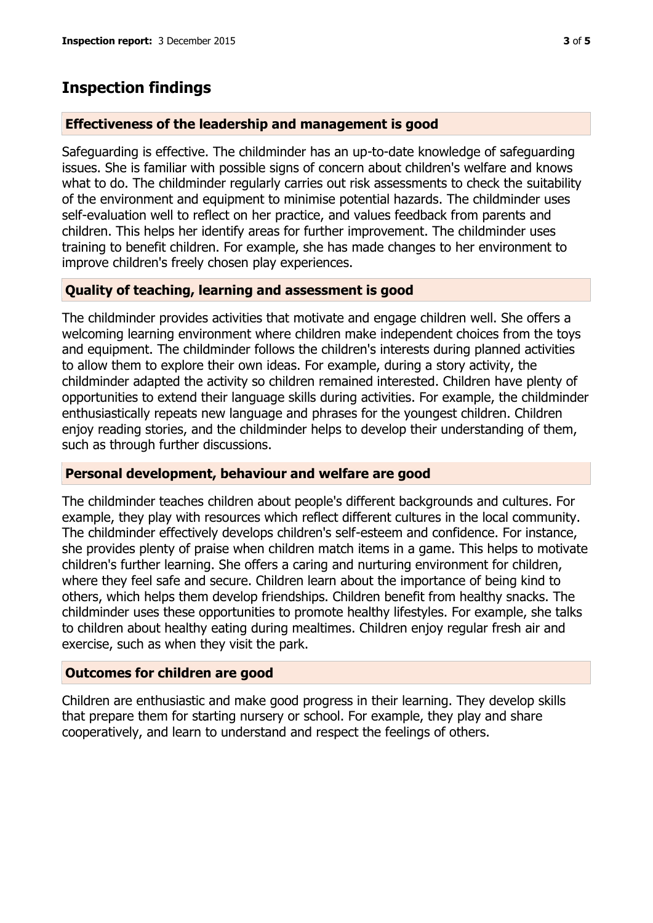# **Inspection findings**

#### **Effectiveness of the leadership and management is good**

Safeguarding is effective. The childminder has an up-to-date knowledge of safeguarding issues. She is familiar with possible signs of concern about children's welfare and knows what to do. The childminder regularly carries out risk assessments to check the suitability of the environment and equipment to minimise potential hazards. The childminder uses self-evaluation well to reflect on her practice, and values feedback from parents and children. This helps her identify areas for further improvement. The childminder uses training to benefit children. For example, she has made changes to her environment to improve children's freely chosen play experiences.

## **Quality of teaching, learning and assessment is good**

The childminder provides activities that motivate and engage children well. She offers a welcoming learning environment where children make independent choices from the toys and equipment. The childminder follows the children's interests during planned activities to allow them to explore their own ideas. For example, during a story activity, the childminder adapted the activity so children remained interested. Children have plenty of opportunities to extend their language skills during activities. For example, the childminder enthusiastically repeats new language and phrases for the youngest children. Children enjoy reading stories, and the childminder helps to develop their understanding of them, such as through further discussions.

#### **Personal development, behaviour and welfare are good**

The childminder teaches children about people's different backgrounds and cultures. For example, they play with resources which reflect different cultures in the local community. The childminder effectively develops children's self-esteem and confidence. For instance, she provides plenty of praise when children match items in a game. This helps to motivate children's further learning. She offers a caring and nurturing environment for children, where they feel safe and secure. Children learn about the importance of being kind to others, which helps them develop friendships. Children benefit from healthy snacks. The childminder uses these opportunities to promote healthy lifestyles. For example, she talks to children about healthy eating during mealtimes. Children enjoy regular fresh air and exercise, such as when they visit the park.

## **Outcomes for children are good**

Children are enthusiastic and make good progress in their learning. They develop skills that prepare them for starting nursery or school. For example, they play and share cooperatively, and learn to understand and respect the feelings of others.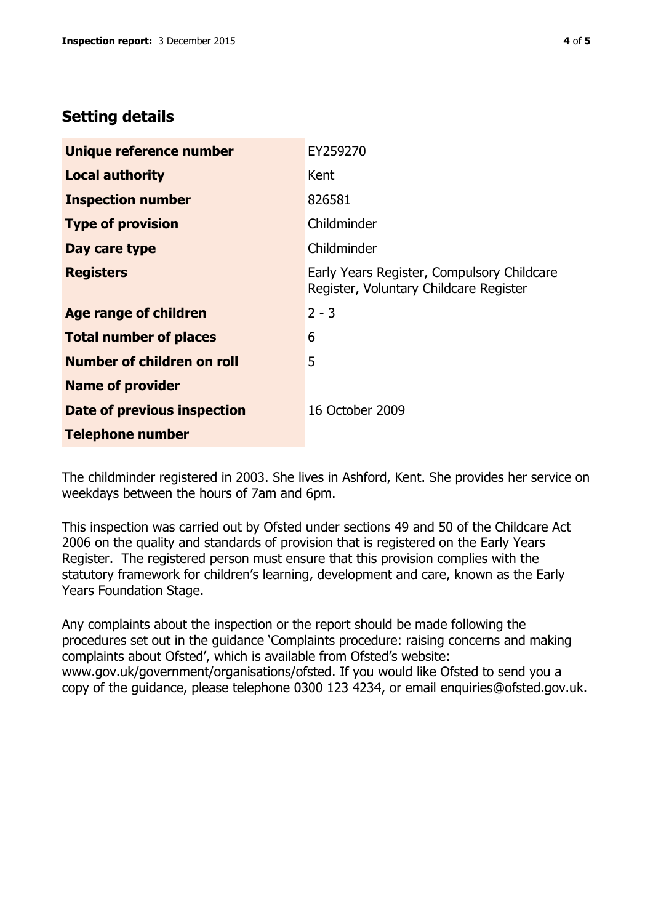# **Setting details**

| Unique reference number            | EY259270                                                                             |  |
|------------------------------------|--------------------------------------------------------------------------------------|--|
| <b>Local authority</b>             | Kent                                                                                 |  |
| <b>Inspection number</b>           | 826581                                                                               |  |
| <b>Type of provision</b>           | Childminder                                                                          |  |
| Day care type                      | Childminder                                                                          |  |
| <b>Registers</b>                   | Early Years Register, Compulsory Childcare<br>Register, Voluntary Childcare Register |  |
| Age range of children              | $2 - 3$                                                                              |  |
| <b>Total number of places</b>      | 6                                                                                    |  |
| <b>Number of children on roll</b>  | 5                                                                                    |  |
| <b>Name of provider</b>            |                                                                                      |  |
| <b>Date of previous inspection</b> | 16 October 2009                                                                      |  |
| <b>Telephone number</b>            |                                                                                      |  |

The childminder registered in 2003. She lives in Ashford, Kent. She provides her service on weekdays between the hours of 7am and 6pm.

This inspection was carried out by Ofsted under sections 49 and 50 of the Childcare Act 2006 on the quality and standards of provision that is registered on the Early Years Register. The registered person must ensure that this provision complies with the statutory framework for children's learning, development and care, known as the Early Years Foundation Stage.

Any complaints about the inspection or the report should be made following the procedures set out in the guidance 'Complaints procedure: raising concerns and making complaints about Ofsted', which is available from Ofsted's website: www.gov.uk/government/organisations/ofsted. If you would like Ofsted to send you a copy of the guidance, please telephone 0300 123 4234, or email enquiries@ofsted.gov.uk.